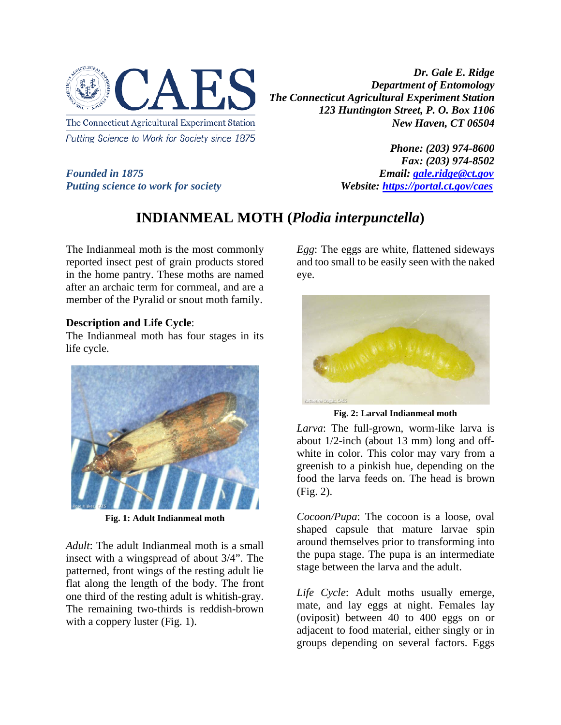

Putting Science to Work for Society since 1875

*Dr. Gale E. Ridge Department of Entomology The Connecticut Agricultural Experiment Station 123 Huntington Street, P. O. Box 1106 New Haven, CT 06504*

*Founded in 1875 Email: [gale.ridge@ct.gov](mailto:gale.ridge@ct.gov) Putting science to work for society Website: <https://portal.ct.gov/caes>*

*Phone: (203) 974-8600 Fax: (203) 974-8502*

## **INDIANMEAL MOTH (***Plodia interpunctella***)**

The Indianmeal moth is the most commonly reported insect pest of grain products stored in the home pantry. These moths are named after an archaic term for cornmeal, and are a member of the Pyralid or snout moth family.

## **Description and Life Cycle**:

The Indianmeal moth has four stages in its life cycle.



**Fig. 1: Adult Indianmeal moth**

*Adult*: The adult Indianmeal moth is a small insect with a wingspread of about 3/4". The patterned, front wings of the resting adult lie flat along the length of the body. The front one third of the resting adult is whitish-gray. The remaining two-thirds is reddish-brown with a coppery luster (Fig. 1).

*Egg*: The eggs are white, flattened sideways and too small to be easily seen with the naked eye.



**Fig. 2: Larval Indianmeal moth**

*Larva*: The full-grown, worm-like larva is about 1/2-inch (about 13 mm) long and offwhite in color. This color may vary from a greenish to a pinkish hue, depending on the food the larva feeds on. The head is brown (Fig. 2).

*Cocoon/Pupa*: The cocoon is a loose, oval shaped capsule that mature larvae spin around themselves prior to transforming into the pupa stage. The pupa is an intermediate stage between the larva and the adult.

*Life Cycle*: Adult moths usually emerge, mate, and lay eggs at night. Females lay (oviposit) between 40 to 400 eggs on or adjacent to food material, either singly or in groups depending on several factors. Eggs